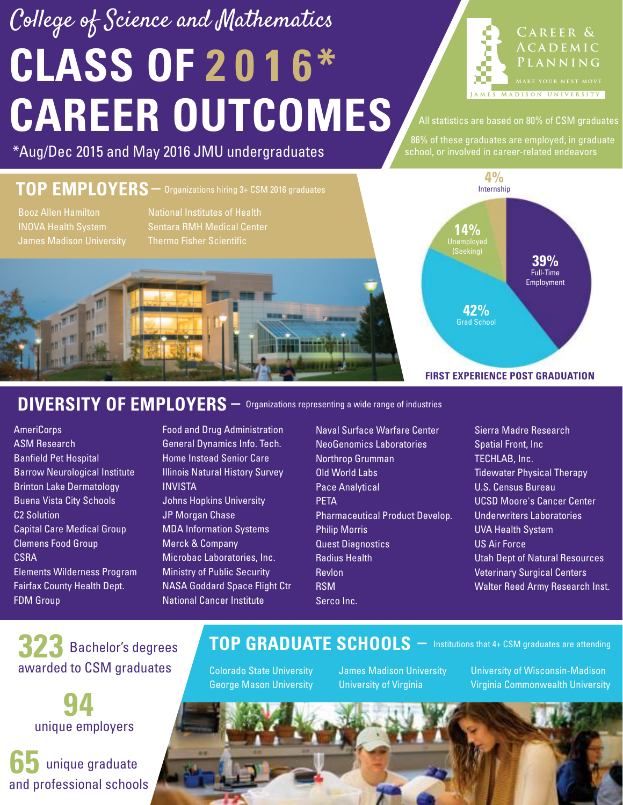# **CLASS OF 2 0 1 6\* CAREER OUTCOMES** College of Science and Mathematics



All statistics are based on 80% of CSM graduates

86% of these graduates are employed, in graduate

Internship **4%**

(Seeking)

Grad School **42%**

**14%**

**FIRST EXPERIENCE POST GRADUATION**

#### \*Aug/Dec 2015 and May 2016 JMU undergraduates states of a school, or involved in career-related endeavors

#### **TOP EMPLOYERS –** Organizations hiring 3+ CSM 2016 graduates Booz Allen Hamilton INOVA Health System James Madison University National Institutes of Health Sentara RMH Medical Center Thermo Fisher Scientific

#### DIVERSITY OF EMPLOYERS  $-$  Organizations representing a wide range of industries

**AmeriCorps** ASM Research Banfield Pet Hospital Barrow Neurological Institute Brinton Lake Dermatology Buena Vista City Schools C2 Solution Capital Care Medical Group Clemens Food Group **CSRA** Elements Wilderness Program Fairfax County Health Dept. FDM Group

Food and Drug Administration General Dynamics Info. Tech. Home Instead Senior Care Illinois Natural History Survey INVISTA Johns Hopkins University JP Morgan Chase MDA Information Systems Merck & Company Microbac Laboratories, Inc. Ministry of Public Security NASA Goddard Space Flight Ctr

National Cancer Institute

Naval Surface Warfare Center NeoGenomics Laboratories Northrop Grumman Old World Labs Pace Analytical **PETA** Pharmaceutical Product Develop. Philip Morris Quest Diagnostics Radius Health Revlon RSM Serco Inc.

Sierra Madre Research Spatial Front, Inc TECHLAB, Inc. Tidewater Physical Therapy U.S. Census Bureau UCSD Moore's Cancer Center Underwriters Laboratories UVA Health System US Air Force Utah Dept of Natural Resources Veterinary Surgical Centers Walter Reed Army Research Inst.

Full-Time **39%** Employment

 Bachelor's degrees **323** awarded to CSM graduates

> **94** unique employers

**65** unique graduate and professional schools

#### **TOP GRADUATE SCHOOLS –** Institutions that 4+ CSM graduates are attending

Colorado State University George Mason University James Madison University University of Virginia

University of Wisconsin-Madison Virginia Commonwealth University